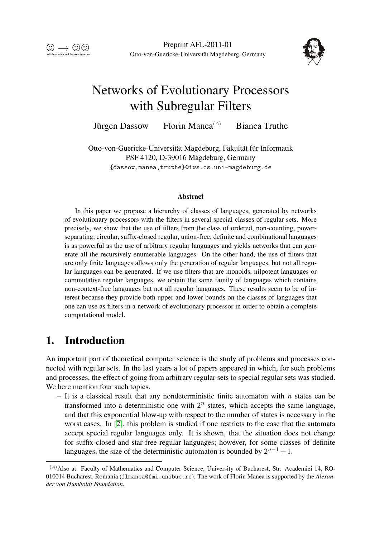

# Networks of Evolutionary Processors with Subregular Filters

Jürgen Dassow Florin Manea $(A)$  Bianca Truthe

Otto-von-Guericke-Universität Magdeburg, Fakultät für Informatik PSF 4120, D-39016 Magdeburg, Germany {dassow,manea,truthe}@iws.cs.uni-magdeburg.de

#### Abstract

In this paper we propose a hierarchy of classes of languages, generated by networks of evolutionary processors with the filters in several special classes of regular sets. More precisely, we show that the use of filters from the class of ordered, non-counting, powerseparating, circular, suffix-closed regular, union-free, definite and combinational languages is as powerful as the use of arbitrary regular languages and yields networks that can generate all the recursively enumerable languages. On the other hand, the use of filters that are only finite languages allows only the generation of regular languages, but not all regular languages can be generated. If we use filters that are monoids, nilpotent languages or commutative regular languages, we obtain the same family of languages which contains non-context-free languages but not all regular languages. These results seem to be of interest because they provide both upper and lower bounds on the classes of languages that one can use as filters in a network of evolutionary processor in order to obtain a complete computational model.

# 1. Introduction

An important part of theoretical computer science is the study of problems and processes connected with regular sets. In the last years a lot of papers appeared in which, for such problems and processes, the effect of going from arbitrary regular sets to special regular sets was studied. We here mention four such topics.

– It is a classical result that any nondeterministic finite automaton with  $n$  states can be transformed into a deterministic one with  $2<sup>n</sup>$  states, which accepts the same language, and that this exponential blow-up with respect to the number of states is necessary in the worst cases. In [\[2\]](#page-23-0), this problem is studied if one restricts to the case that the automata accept special regular languages only. It is shown, that the situation does not change for suffix-closed and star-free regular languages; however, for some classes of definite languages, the size of the deterministic automaton is bounded by  $2^{n-1} + 1$ .

<sup>(</sup>A)Also at: Faculty of Mathematics and Computer Science, University of Bucharest, Str. Academiei 14, RO-010014 Bucharest, Romania (flmanea@fmi.unibuc.ro). The work of Florin Manea is supported by the *Alexander von Humboldt Foundation*.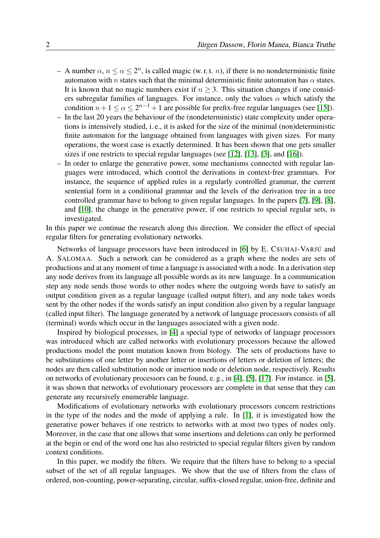- A number  $\alpha$ ,  $n \le \alpha \le 2^n$ , is called magic (w. r. t. n), if there is no nondeterministic finite automaton with n states such that the minimal deterministic finite automaton has  $\alpha$  states. It is known that no magic numbers exist if  $n \geq 3$ . This situation changes if one considers subregular families of languages. For instance, only the values  $\alpha$  which satisfy the condition  $n+1 \leq \alpha \leq 2^{n-1}+1$  are possible for prefix-free regular languages (see [\[15\]](#page-23-1)).
- In the last 20 years the behaviour of the (nondeterministic) state complexity under operations is intensively studied, i. e., it is asked for the size of the minimal (non)deterministic finite automaton for the language obtained from languages with given sizes. For many operations, the worst case is exactly determined. It has been shown that one gets smaller sizes if one restricts to special regular languages (see [\[12\]](#page-23-2), [\[13\]](#page-23-3), [\[3\]](#page-23-4), and [\[16\]](#page-23-5)).
- In order to enlarge the generative power, some mechanisms connected with regular languages were introduced, which control the derivations in context-free grammars. For instance, the sequence of applied rules in a regularly controlled grammar, the current sentential form in a conditional grammar and the levels of the derivation tree in a tree controlled grammar have to belong to given regular languages. In the papers [\[7\]](#page-23-6), [\[9\]](#page-23-7), [\[8\]](#page-23-8), and [\[10\]](#page-23-9), the change in the generative power, if one restricts to special regular sets, is investigated.

In this paper we continue the research along this direction. We consider the effect of special regular filters for generating evolutionary networks.

Networks of language processors have been introduced in [\[6\]](#page-23-10) by E. CSUHAJ-VARJÚ and A. SALOMAA. Such a network can be considered as a graph where the nodes are sets of productions and at any moment of time a language is associated with a node. In a derivation step any node derives from its language all possible words as its new language. In a communication step any node sends those words to other nodes where the outgoing words have to satisfy an output condition given as a regular language (called output filter), and any node takes words sent by the other nodes if the words satisfy an input condition also given by a regular language (called input filter). The language generated by a network of language processors consists of all (terminal) words which occur in the languages associated with a given node.

Inspired by biological processes, in [\[4\]](#page-23-11) a special type of networks of language processors was introduced which are called networks with evolutionary processors because the allowed productions model the point mutation known from biology. The sets of productions have to be substitutions of one letter by another letter or insertions of letters or deletion of letters; the nodes are then called substitution node or insertion node or deletion node, respectively. Results on networks of evolutionary processors can be found, e. g., in [\[4\]](#page-23-11), [\[5\]](#page-23-12), [\[17\]](#page-24-0). For instance. in [\[5\]](#page-23-12), it was shown that networks of evolutionary processors are complete in that sense that they can generate any recursively enumerable language.

Modifications of evolutionary networks with evolutionary processors concern restrictions in the type of the nodes and the mode of applying a rule. In [\[1\]](#page-23-13), it is investigated how the generative power behaves if one restricts to networks with at most two types of nodes only. Moreover, in the case that one allows that some insertions and deletions can only be performed at the begin or end of the word one has also restricted to special regular filters given by random context conditions.

In this paper, we modify the filters. We require that the filters have to belong to a special subset of the set of all regular languages. We show that the use of filters from the class of ordered, non-counting, power-separating, circular, suffix-closed regular, union-free, definite and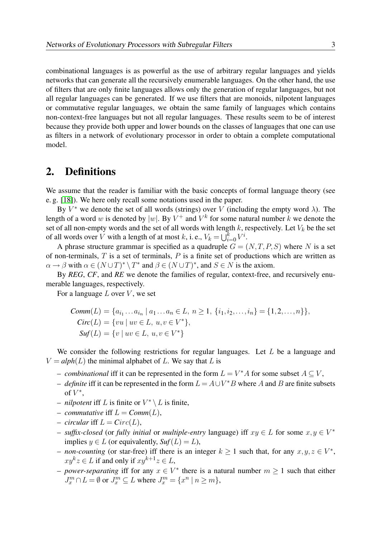combinational languages is as powerful as the use of arbitrary regular languages and yields networks that can generate all the recursively enumerable languages. On the other hand, the use of filters that are only finite languages allows only the generation of regular languages, but not all regular languages can be generated. If we use filters that are monoids, nilpotent languages or commutative regular languages, we obtain the same family of languages which contains non-context-free languages but not all regular languages. These results seem to be of interest because they provide both upper and lower bounds on the classes of languages that one can use as filters in a network of evolutionary processor in order to obtain a complete computational model.

### 2. Definitions

We assume that the reader is familiar with the basic concepts of formal language theory (see e. g. [\[18\]](#page-24-1)). We here only recall some notations used in the paper.

By  $V^*$  we denote the set of all words (strings) over V (including the empty word  $\lambda$ ). The length of a word w is denoted by  $|w|$ . By  $V^+$  and  $V^k$  for some natural number k we denote the set of all non-empty words and the set of all words with length  $k$ , respectively. Let  $V_k$  be the set of all words over V with a length of at most k, i. e.,  $V_k = \bigcup_{i=0}^k V^i$ .

A phrase structure grammar is specified as a quadruple  $G = (N, T, P, S)$  where N is a set of non-terminals,  $T$  is a set of terminals,  $P$  is a finite set of productions which are written as  $\alpha \to \beta$  with  $\alpha \in (N \cup T)^* \setminus T^*$  and  $\beta \in (N \cup T)^*$ , and  $S \in N$  is the axiom.

By *REG*, *CF*, and *RE* we denote the families of regular, context-free, and recursively enumerable languages, respectively.

For a language  $L$  over  $V$ , we set

$$
Comm(L) = \{a_{i_1} \dots a_{i_n} \mid a_1 \dots a_n \in L, n \ge 1, \{i_1, i_2, \dots, i_n\} = \{1, 2, \dots, n\}\},
$$
  
\n
$$
Circ(L) = \{vu \mid uv \in L, u, v \in V^*\},
$$
  
\n
$$
Suf(L) = \{v \mid uv \in L, u, v \in V^*\}
$$

We consider the following restrictions for regular languages. Let  $L$  be a language and  $V = alph(L)$  the minimal alphabet of L. We say that L is

- − *combinational* iff it can be represented in the form  $L = V^*A$  for some subset  $A \subseteq V$ ,
- $-$  *definite* iff it can be represented in the form  $L = A \cup V^*B$  where A and B are finite subsets of  $V^*$ ,
- $-$  *nilpotent* iff L is finite or  $V^* \setminus L$  is finite,
- $-$  *commutative* iff  $L = Comm(L)$ ,
- $-$  *circular* iff  $L = Circ(L)$ ,
- $-$  *suffix-closed* (or *fully initial* or *multiple-entry* language) iff  $xy \in L$  for some  $x, y \in V^*$ implies  $y \in L$  (or equivalently,  $Suf(L) = L$ ),
- *non-counting* (or star-free) iff there is an integer  $k \ge 1$  such that, for any  $x, y, z \in V^*$ ,  $xy^kz \in L$  if and only if  $xy^{k+1}z \in L$ ,
- *power-separating* iff for any  $x \in V^*$  there is a natural number  $m \ge 1$  such that either  $J_x^m \cap L = \emptyset$  or  $J_x^m \subseteq L$  where  $J_x^m = \{x^n \mid n \ge m\},$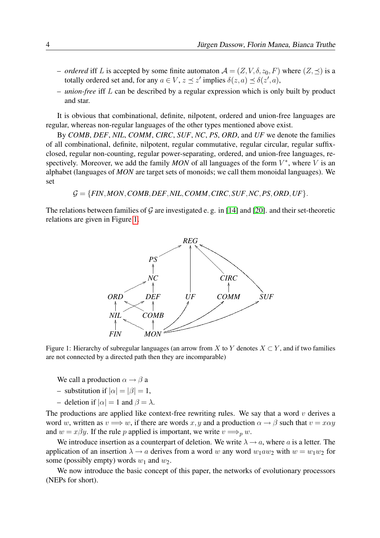- *ordered* iff L is accepted by some finite automaton  $A = (Z, V, \delta, z_0, F)$  where  $(Z, \preceq)$  is a totally ordered set and, for any  $a \in V$ ,  $z \preceq z'$  implies  $\delta(z, a) \preceq \delta(z', a)$ ,
- *union-free* iff L can be described by a regular expression which is only built by product and star.

It is obvious that combinational, definite, nilpotent, ordered and union-free languages are regular, whereas non-regular languages of the other types mentioned above exist.

By *COMB*, *DEF*, *NIL*, *COMM*, *CIRC*, *SUF*, *NC*, *PS*, *ORD*, and *UF* we denote the families of all combinational, definite, nilpotent, regular commutative, regular circular, regular suffixclosed, regular non-counting, regular power-separating, ordered, and union-free languages, respectively. Moreover, we add the family  $MON$  of all languages of the form  $V^*$ , where V is an alphabet (languages of *MON* are target sets of monoids; we call them monoidal languages). We set

 $G = \{FIN, MON, COMB, DEF, NIL, COMM, CIRC, SUF, NC, PS, ORD, UF\}.$ 

The relations between families of  $G$  are investigated e.g. in [\[14\]](#page-23-14) and [\[20\]](#page-24-2). and their set-theoretic relations are given in Figure [1.](#page-3-0)



<span id="page-3-0"></span>Figure 1: Hierarchy of subregular languages (an arrow from X to Y denotes  $X \subset Y$ , and if two families are not connected by a directed path then they are incomparable)

We call a production  $\alpha \rightarrow \beta$  a

- substitution if  $|\alpha| = |\beta| = 1$ ,
- deletion if  $|\alpha| = 1$  and  $\beta = \lambda$ .

The productions are applied like context-free rewriting rules. We say that a word  $v$  derives a word w, written as  $v \Longrightarrow w$ , if there are words x, y and a production  $\alpha \to \beta$  such that  $v = x\alpha y$ and  $w = x\beta y$ . If the rule p applied is important, we write  $v \Longrightarrow_{p} w$ .

We introduce insertion as a counterpart of deletion. We write  $\lambda \rightarrow a$ , where a is a letter. The application of an insertion  $\lambda \to a$  derives from a word w any word  $w_1aw_2$  with  $w = w_1w_2$  for some (possibly empty) words  $w_1$  and  $w_2$ .

We now introduce the basic concept of this paper, the networks of evolutionary processors (NEPs for short).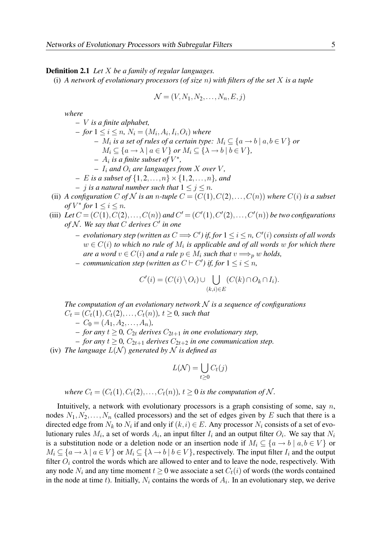Definition 2.1 *Let* X *be a family of regular languages.*

(i) *A network of evolutionary processors (of size* n*) with filters of the set* X *is a tuple*

$$
\mathcal{N} = (V, N_1, N_2, \dots, N_n, E, j)
$$

*where*

- V *is a finite alphabet,*
- $-$  *for*  $1 \leq i \leq n$ ,  $N_i = (M_i, A_i, I_i, O_i)$  where  $M_i$  is a set of rules of a certain type:  $M_i \subseteq \{a \rightarrow b ~|~ a, b \in V\}$  or  $M_i \subseteq \{a \rightarrow \lambda \mid a \in V\}$  or  $M_i \subseteq \{\lambda \rightarrow b \mid b \in V\},$  $-$  A<sub>i</sub> is a finite subset of  $V^*$ ,
	- $I_i$  *and*  $O_i$  *are languages from* X *over* V,
	- $E$  *is a subset of*  $\{1, 2, ..., n\} \times \{1, 2, ..., n\}$ *, and*
	- $j$  *is a natural number such that*  $1 \leq j \leq n$ .
- (ii) *A configuration C* of *N* is an *n*-tuple  $C = (C(1), C(2), \ldots, C(n))$  where  $C(i)$  is a subset *of*  $V^*$  *for*  $1 \leq i \leq n$ *.*
- (iii) Let  $C = (C(1), C(2), \ldots, C(n))$  and  $C' = (C'(1), C'(2), \ldots, C'(n))$  be two configurations *of* N *. We say that* C *derives* C 0 *in one*
	- $-$  evolutionary step (written as  $C\Longrightarrow C'$ ) if, for  $1\leq i\leq n,$   $C'(i)$  consists of all words  $w \in C(i)$  to which no rule of  $M_i$  is applicable and of all words  $w$  for which there *are a word*  $v \in C(i)$  *and a rule*  $p \in M_i$  *such that*  $v \Longrightarrow_{p} w$  *holds,*
	- $-$  *communication step (written as*  $C \vdash C'$ *) if, for*  $1 \leq i \leq n$ ,

$$
C'(i) = (C(i) \setminus O_i) \cup \bigcup_{(k,i) \in E} (C(k) \cap O_k \cap I_i).
$$

*The computation of an evolutionary network* N *is a sequence of configurations*  $C_t = (C_t(1), C_t(2), \ldots, C_t(n))$ ,  $t > 0$ *, such that* 

- $-C_0 = (A_1, A_2, \ldots, A_n)$
- $-$  *for any*  $t > 0$ ,  $C_{2t}$  *derives*  $C_{2t+1}$  *in one evolutionary step*,
- $-$  *for any*  $t \geq 0$ ,  $C_{2t+1}$  *derives*  $C_{2t+2}$  *in one communication step.*
- (iv) *The language*  $L(\mathcal{N})$  *generated by*  $\mathcal{N}$  *is defined as*

$$
L(\mathcal{N}) = \bigcup_{t \ge 0} C_t(j)
$$

*where*  $C_t = (C_t(1), C_t(2), \ldots, C_t(n))$ *,*  $t > 0$  *is the computation of* N.

Intuitively, a network with evolutionary processors is a graph consisting of some, say  $n$ , nodes  $N_1, N_2, \ldots, N_n$  (called processors) and the set of edges given by E such that there is a directed edge from  $N_k$  to  $N_i$  if and only if  $(k, i) \in E$ . Any processor  $N_i$  consists of a set of evolutionary rules  $M_i$ , a set of words  $A_i$ , an input filter  $I_i$  and an output filter  $O_i$ . We say that  $N_i$ is a substitution node or a deletion node or an insertion node if  $M_i \subseteq \{a \rightarrow b \mid a, b \in V\}$  or  $M_i \subseteq \{a \to \lambda \mid a \in V\}$  or  $M_i \subseteq \{\lambda \to b \mid b \in V\}$ , respectively. The input filter  $I_i$  and the output filter  $O_i$  control the words which are allowed to enter and to leave the node, respectively. With any node  $N_i$  and any time moment  $t \geq 0$  we associate a set  $C_t(i)$  of words (the words contained in the node at time t). Initially,  $N_i$  contains the words of  $A_i$ . In an evolutionary step, we derive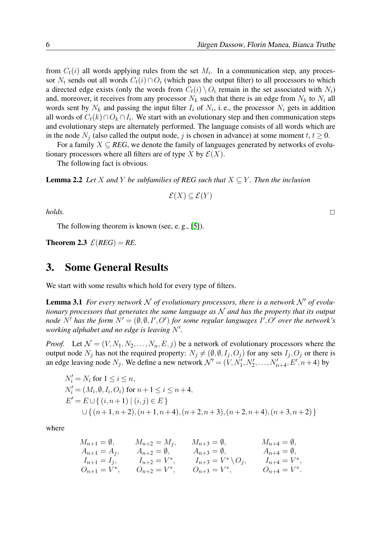from  $C_t(i)$  all words applying rules from the set  $M_i$ . In a communication step, any processor  $N_i$  sends out all words  $C_t(i) \cap O_i$  (which pass the output filter) to all processors to which a directed edge exists (only the words from  $C_t(i) \setminus O_i$  remain in the set associated with  $N_i$ ) and, moreover, it receives from any processor  $N_k$  such that there is an edge from  $N_k$  to  $N_i$  all words sent by  $N_k$  and passing the input filter  $I_i$  of  $N_i$ , i.e., the processor  $N_i$  gets in addition all words of  $C_t(k) \cap O_k \cap I_i$ . We start with an evolutionary step and then communication steps and evolutionary steps are alternately performed. The language consists of all words which are in the node  $N_i$  (also called the output node, j is chosen in advance) at some moment  $t, t \geq 0$ .

For a family  $X \subseteq REG$ , we denote the family of languages generated by networks of evolutionary processors where all filters are of type X by  $\mathcal{E}(X)$ .

The following fact is obvious.

<span id="page-5-0"></span>**Lemma 2.2** *Let* X and Y *be subfamilies of REG such that*  $X \subseteq Y$ *. Then the inclusion* 

$$
\mathcal{E}(X) \subseteq \mathcal{E}(Y)
$$

*holds.* <sup>2</sup>

The following theorem is known (see, e. g., [\[5\]](#page-23-12)).

<span id="page-5-1"></span>**Theorem 2.3**  $\mathcal{E}(REG) = RE$ .

### 3. Some General Results

We start with some results which hold for every type of filters.

**Lemma 3.1** For every network N of evolutionary processors, there is a network  $\mathcal{N}'$  of evolu*tionary processors that generates the same language as* N *and has the property that its output node* N' has the form  $N' = (\emptyset, \emptyset, I', O')$  for some regular languages  $I', O'$  over the network's working alphabet and no edge is leaving N'.

*Proof.* Let  $\mathcal{N} = (V, N_1, N_2, \ldots, N_n, E, j)$  be a network of evolutionary processors where the output node  $N_j$  has not the required property:  $N_j \neq (\emptyset, \emptyset, I_j, O_j)$  for any sets  $I_j, O_j$  or there is an edge leaving node  $N_j$ . We define a new network  $\mathcal{N}' = (\tilde{V}, \tilde{N}'_1, N'_2, \dots, N'_{n+4}, E', n+4)$  by

$$
N'_{i} = N_{i} \text{ for } 1 \leq i \leq n,
$$
  
\n
$$
N'_{i} = (M_{i}, \emptyset, I_{i}, O_{i}) \text{ for } n+1 \leq i \leq n+4,
$$
  
\n
$$
E' = E \cup \{ (i, n+1) \mid (i, j) \in E \}
$$
  
\n
$$
\cup \{ (n+1, n+2), (n+1, n+4), (n+2, n+3), (n+2, n+4), (n+3, n+2) \}
$$

where

$$
M_{n+1} = \emptyset, \t M_{n+2} = M_j, \t M_{n+3} = \emptyset, \t M_{n+4} = \emptyset, \nA_{n+1} = A_j, \t A_{n+2} = \emptyset, \t A_{n+3} = \emptyset, \t A_{n+4} = \emptyset, \nI_{n+1} = I_j, \t I_{n+2} = V^*, \t I_{n+3} = V^* \backslash O_j, \t I_{n+4} = V^*, \nO_{n+1} = V^*, \t O_{n+2} = V^*, \t O_{n+3} = V^*, \t O_{n+4} = V^*.
$$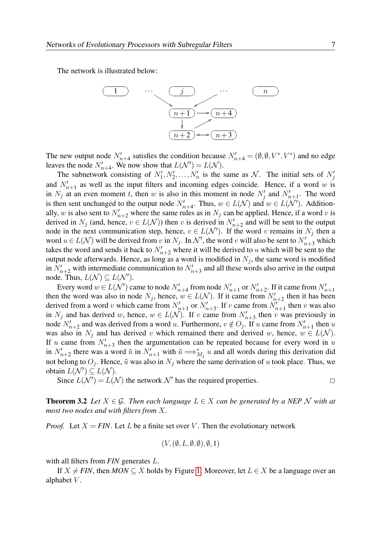The network is illustrated below:



The new output node  $N'_{n+4}$  satisfies the condition because  $N'_{n+4} = (\emptyset, \emptyset, V^*, V^*)$  and no edge leaves the node  $N'_{n+4}$ . We now show that  $L(\mathcal{N}') = L(\mathcal{N})$ .

The subnetwork consisting of  $N'_1, N'_2, \ldots, N'_n$  is the same as N. The initial sets of  $N'_j$ and  $N'_{n+1}$  as well as the input filters and incoming edges coincide. Hence, if a word w is in  $N_j$  at an even moment t, then w is also in this moment in node  $N'_j$  and  $N'_{n+1}$ . The word is then sent unchanged to the output node  $N'_{n+4}$ . Thus,  $w \in L(\mathcal{N})$  and  $w \in L(\mathcal{N}')$ . Additionally, w is also sent to  $N'_{n+2}$  where the same rules as in  $N_j$  can be applied. Hence, if a word v is derived in  $N_j$  (and, hence,  $v \in L(\mathcal{N})$ ) then v is derived in  $N'_{n+2}$  and will be sent to the output node in the next communication step, hence,  $v \in L(\mathcal{N}')$ . If the word v remains in  $N_j$  then a word  $u \in L(\mathcal{N})$  will be derived from  $v$  in  $N_j$ . In  $\mathcal{N}'$ , the word  $v$  will also be sent to  $N'_{n+3}$  which takes the word and sends it back to  $N'_{n+2}$  where it will be derived to u which will be sent to the output node afterwards. Hence, as long as a word is modified in  $N_j$ , the same word is modified in  $N'_{n+2}$  with intermediate communication to  $N'_{n+3}$  and all these words also arrive in the output node. Thus,  $L(\mathcal{N}) \subseteq L(\mathcal{N}')$ .

Every word  $w \in L(\mathcal{N}')$  came to node  $N'_{n+4}$  from node  $N'_{n+1}$  or  $N'_{n+2}$ . If it came from  $N'_{n+1}$ then the word was also in node  $N_j$ , hence,  $w \in L(\mathcal{N})$ . If it came from  $N'_{n+2}$  then it has been derived from a word v which came from  $N'_{n+1}$  or  $N'_{n+3}$ . If v came from  $N'_{n+1}$  then v was also in  $N_j$  and has derived w, hence,  $w \in L(\mathcal{N})$ . If v came from  $N'_{n+3}$  then v was previously in node  $N'_{n+2}$  and was derived from a word u. Furthermore,  $v \notin O_j$ . If u came from  $N'_{n+1}$  then u was also in  $N_j$  and has derived v which remained there and derived w, hence,  $w \in L(\mathcal{N})$ . If u came from  $N'_{n+3}$  then the argumentation can be repeated because for every word in u in  $N'_{n+2}$  there was a word  $\tilde{u}$  in  $N'_{n+1}$  with  $\tilde{u} \implies^*_{M_j} u$  and all words during this derivation did not belong to  $O_j$ . Hence,  $\tilde{u}$  was also in  $N_j$  where the same derivation of u took place. Thus, we obtain  $L(\mathcal{N}') \subseteq L(\mathcal{N})$ .

Since  $L(\mathcal{N}') = L(\mathcal{N})$  the network  $\mathcal{N}'$  has the required properties.

<span id="page-6-0"></span>**Theorem 3.2** Let  $X \in \mathcal{G}$ . Then each language  $L \in X$  can be generated by a NEP N with at *most two nodes and with filters from* X*.*

*Proof.* Let  $X = FIN$ . Let L be a finite set over V. Then the evolutionary network

$$
(V, (\emptyset, L, \emptyset, \emptyset), \emptyset, 1)
$$

with all filters from *FIN* generates L.

If  $X \neq FIN$ , then *MON*  $\subseteq X$  holds by Figure [1.](#page-3-0) Moreover, let  $L \in X$  be a language over an alphabet  $V$ .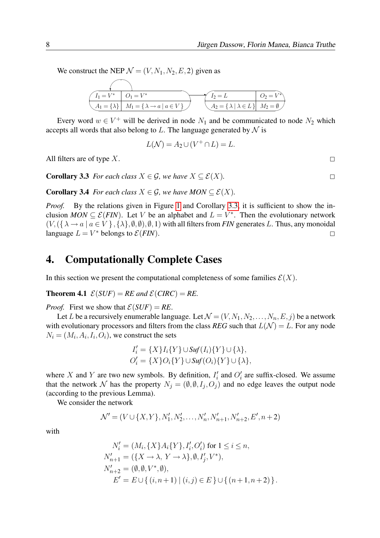We construct the NEP  $\mathcal{N} = (V, N_1, N_2, E, 2)$  given as

| $I_1 = V^*$ $O_1 = V^*$ |                                                                    | $I_2 = L$                                                | $O_2 = V^*$ |
|-------------------------|--------------------------------------------------------------------|----------------------------------------------------------|-------------|
|                         | $A_1 = \{\lambda\}$ $M_1 = \{\lambda \rightarrow a \mid a \in V\}$ | $A_2 = \{\lambda \mid \lambda \in L\}$ $M_2 = \emptyset$ |             |

Every word  $w \in V^+$  will be derived in node  $N_1$  and be communicated to node  $N_2$  which accepts all words that also belong to  $L$ . The language generated by  $\mathcal N$  is

$$
L(\mathcal{N}) = A_2 \cup (V^+ \cap L) = L.
$$

<span id="page-7-0"></span>All filters are of type X.

**Corollary 3.3** *For each class*  $X \in \mathcal{G}$ *, we have*  $X \subset \mathcal{E}(X)$ *.*  $\Box$ 

**Corollary 3.4** *For each class*  $X \in \mathcal{G}$ *, we have MON*  $\subset \mathcal{E}(X)$ *.* 

*Proof.* By the relations given in Figure [1](#page-3-0) and Corollary [3.3,](#page-7-0) it is sufficient to show the inclusion  $MON \subseteq \mathcal{E}(FIN)$ . Let V be an alphabet and  $L = V^*$ . Then the evolutionary network  $(V, (\{\lambda \rightarrow a \mid a \in V\}, \{\lambda\}, \emptyset, \emptyset), \emptyset, 1)$  with all filters from *FIN* generates L. Thus, any monoidal language  $L = V^*$  belongs to  $\mathcal{E}(FIN)$ .

## 4. Computationally Complete Cases

In this section we present the computational completeness of some families  $\mathcal{E}(X)$ .

**Theorem 4.1**  $\mathcal{E}(SUF) = RE$  and  $\mathcal{E}(CIRC) = RE$ .

*Proof.* First we show that  $\mathcal{E}(SUF) = RE$ .

Let L be a recursively enumerable language. Let  $\mathcal{N} = (V, N_1, N_2, \ldots, N_n, E, j)$  be a network with evolutionary processors and filters from the class *REG* such that  $L(\mathcal{N}) = L$ . For any node  $N_i = (M_i, A_i, I_i, O_i)$ , we construct the sets

$$
I'_{i} = \{X\}I_{i}\{Y\} \cup \text{Suf}(I_{i})\{Y\} \cup \{\lambda\},
$$
  

$$
O'_{i} = \{X\}O_{i}\{Y\} \cup \text{Suf}(O_{i})\{Y\} \cup \{\lambda\},
$$

where X and Y are two new symbols. By definition,  $I'_i$  and  $O'_i$  are suffix-closed. We assume that the network N has the property  $N_j = (\emptyset, \emptyset, I_j, O_j)$  and no edge leaves the output node (according to the previous Lemma).

We consider the network

$$
\mathcal{N}' = (V \cup \{X, Y\}, N'_1, N'_2, \dots, N'_n, N'_{n+1}, N'_{n+2}, E', n+2)
$$

with

$$
N'_{i} = (M_{i}, \{X\}A_{i}\{Y\}, I'_{i}, O'_{i}) \text{ for } 1 \leq i \leq n,
$$
  
\n
$$
N'_{n+1} = (\{X \to \lambda, Y \to \lambda\}, \emptyset, I'_{j}, V^{*}),
$$
  
\n
$$
N'_{n+2} = (\emptyset, \emptyset, V^{*}, \emptyset),
$$
  
\n
$$
E' = E \cup \{ (i, n+1) | (i, j) \in E \} \cup \{ (n+1, n+2) \}.
$$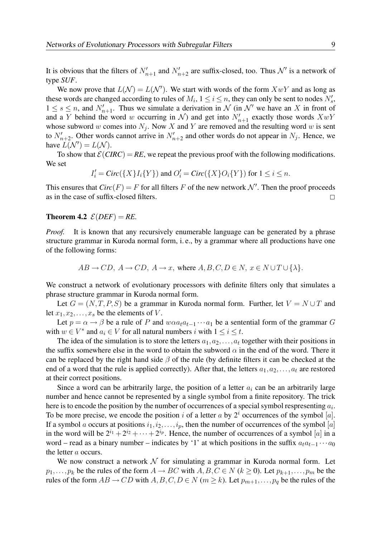It is obvious that the filters of  $N'_{n+1}$  and  $N'_{n+2}$  are suffix-closed, too. Thus  $\mathcal{N}'$  is a network of type *SUF*.

We now prove that  $L(\mathcal{N}) = L(\mathcal{N}')$ . We start with words of the form  $XwY$  and as long as these words are changed according to rules of  $M_i$ ,  $1 \le i \le n$ , they can only be sent to nodes  $N'_s$ ,  $1 \leq s \leq n$ , and  $N'_{n+1}$ . Thus we simulate a derivation in N (in N' we have an X in front of and a Y behind the word w occurring in N) and get into  $N'_{n+1}$  exactly those words  $XwY$ whose subword w comes into  $N_j$ . Now X and Y are removed and the resulting word w is sent to  $N'_{n+2}$ . Other words cannot arrive in  $N'_{n+2}$  and other words do not appear in  $N_j$ . Hence, we have  $L(\mathcal{N}') = L(\mathcal{N})$ .

To show that  $\mathcal{E}(CIRC) = RE$ , we repeat the previous proof with the following modifications. We set

$$
I'_i = Circ(\lbrace X \rbrace I_i \lbrace Y \rbrace) \text{ and } O'_i = Circ(\lbrace X \rbrace O_i \lbrace Y \rbrace) \text{ for } 1 \leq i \leq n.
$$

This ensures that  $Circ(F) = F$  for all filters F of the new network  $\mathcal{N}'$ . Then the proof proceeds as in the case of suffix-closed filters.  $\Box$ 

#### <span id="page-8-0"></span>**Theorem 4.2**  $\mathcal{E}(DEF) = RE$ .

*Proof.* It is known that any recursively enumerable language can be generated by a phrase structure grammar in Kuroda normal form, i. e., by a grammar where all productions have one of the following forms:

$$
AB \to CD
$$
,  $A \to CD$ ,  $A \to x$ , where  $A, B, C, D \in N$ ,  $x \in N \cup T \cup \{\lambda\}$ .

We construct a network of evolutionary processors with definite filters only that simulates a phrase structure grammar in Kuroda normal form.

Let  $G = (N, T, P, S)$  be a grammar in Kuroda normal form. Further, let  $V = N \cup T$  and let  $x_1, x_2, \ldots, x_s$  be the elements of V.

Let  $p = \alpha \rightarrow \beta$  be a rule of P and  $w \alpha a_t a_{t-1} \cdots a_1$  be a sentential form of the grammar G with  $w \in V^*$  and  $a_i \in V$  for all natural numbers i with  $1 \le i \le t$ .

The idea of the simulation is to store the letters  $a_1, a_2, \ldots, a_t$  together with their positions in the suffix somewhere else in the word to obtain the subword  $\alpha$  in the end of the word. There it can be replaced by the right hand side  $\beta$  of the rule (by definite filters it can be checked at the end of a word that the rule is applied correctly). After that, the letters  $a_1, a_2, \ldots, a_t$  are restored at their correct positions.

Since a word can be arbitrarily large, the position of a letter  $a_i$  can be an arbitrarily large number and hence cannot be represented by a single symbol from a finite repository. The trick here is to encode the position by the number of occurrences of a special symbol respresenting  $a_i$ . To be more precise, we encode the position i of a letter a by  $2<sup>i</sup>$  occurrences of the symbol [a]. If a symbol a occurs at positions  $i_1, i_2, \ldots, i_n$ , then the number of occurrences of the symbol [a] in the word will be  $2^{i_1} + 2^{i_2} + \cdots + 2^{i_p}$ . Hence, the number of occurrences of a symbol [a] in a word – read as a binary number – indicates by '1' at which positions in the suffix  $a_t a_{t-1} \cdots a_0$ the letter a occurs.

We now construct a network  $\mathcal N$  for simulating a grammar in Kuroda normal form. Let  $p_1,\ldots,p_k$  be the rules of the form  $A \to BC$  with  $A,B,C \in N$  ( $k \ge 0$ ). Let  $p_{k+1},\ldots,p_m$  be the rules of the form  $AB \to CD$  with  $A, B, C, D \in N$  ( $m \ge k$ ). Let  $p_{m+1}, \ldots, p_q$  be the rules of the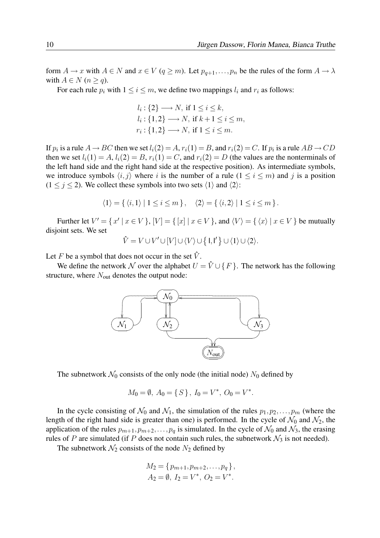form  $A \to x$  with  $A \in N$  and  $x \in V$   $(q \ge m)$ . Let  $p_{q+1}, \ldots, p_n$  be the rules of the form  $A \to \lambda$ with  $A \in N$   $(n \geq q)$ .

For each rule  $p_i$  with  $1 \le i \le m$ , we define two mappings  $l_i$  and  $r_i$  as follows:

$$
l_i: \{2\} \longrightarrow N, \text{ if } 1 \le i \le k,
$$
  
\n
$$
l_i: \{1, 2\} \longrightarrow N, \text{ if } k+1 \le i \le m,
$$
  
\n
$$
r_i: \{1, 2\} \longrightarrow N, \text{ if } 1 \le i \le m.
$$

If  $p_i$  is a rule  $A \to BC$  then we set  $l_i(2) = A$ ,  $r_i(1) = B$ , and  $r_i(2) = C$ . If  $p_i$  is a rule  $AB \to CD$ then we set  $l_i(1) = A$ ,  $l_i(2) = B$ ,  $r_i(1) = C$ , and  $r_i(2) = D$  (the values are the nonterminals of the left hand side and the right hand side at the respective position). As intermediate symbols, we introduce symbols  $\langle i, j \rangle$  where i is the number of a rule  $(1 \le i \le m)$  and j is a position  $(1 \le j \le 2)$ . We collect these symbols into two sets  $\langle 1 \rangle$  and  $\langle 2 \rangle$ :

$$
\langle 1 \rangle = \{ \langle i, 1 \rangle \mid 1 \le i \le m \}, \quad \langle 2 \rangle = \{ \langle i, 2 \rangle \mid 1 \le i \le m \}.
$$

Further let  $V' = \{x' \mid x \in V\}$ ,  $[V] = \{ [x] \mid x \in V\}$ , and  $\langle V \rangle = \{ \langle x \rangle \mid x \in V\}$  be mutually disjoint sets. We set

$$
\hat{V} = V \cup V' \cup [V] \cup \langle V \rangle \cup \{1,1'\} \cup \langle 1 \rangle \cup \langle 2 \rangle.
$$

Let F be a symbol that does not occur in the set  $\hat{V}$ .

We define the network N over the alphabet  $U = \hat{V} \cup \{F\}$ . The network has the following structure, where  $N_{\text{out}}$  denotes the output node:



The subnetwork  $\mathcal{N}_0$  consists of the only node (the initial node)  $N_0$  defined by

$$
M_0 = \emptyset
$$
,  $A_0 = \{ S \}$ ,  $I_0 = V^*$ ,  $O_0 = V^*$ .

In the cycle consisting of  $\mathcal{N}_0$  and  $\mathcal{N}_1$ , the simulation of the rules  $p_1, p_2, \ldots, p_m$  (where the length of the right hand side is greater than one) is performed. In the cycle of  $\mathcal{N}_0$  and  $\mathcal{N}_2$ , the application of the rules  $p_{m+1}, p_{m+2}, \ldots, p_q$  is simulated. In the cycle of  $\mathcal{N}_0$  and  $\mathcal{N}_3$ , the erasing rules of P are simulated (if P does not contain such rules, the subnetwork  $\mathcal{N}_3$  is not needed).

The subnetwork  $\mathcal{N}_2$  consists of the node  $N_2$  defined by

$$
M_2 = \{p_{m+1}, p_{m+2}, \dots, p_q\},
$$
  
\n
$$
A_2 = \emptyset, I_2 = V^*, O_2 = V^*.
$$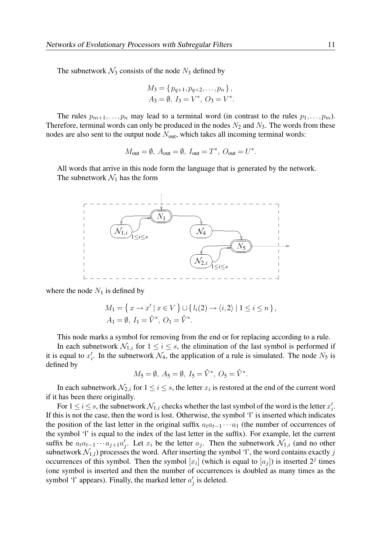The subnetwork  $\mathcal{N}_3$  consists of the node  $N_3$  defined by

$$
M_3 = \{p_{q+1}, p_{q+2}, \dots, p_n\},
$$
  

$$
A_3 = \emptyset, I_3 = V^*, O_3 = V^*.
$$

The rules  $p_{m+1},...,p_n$  may lead to a terminal word (in contrast to the rules  $p_1,...,p_m$ ). Therefore, terminal words can only be produced in the nodes  $N_2$  and  $N_3$ . The words from these nodes are also sent to the output node  $N_{\text{out}}$ , which takes all incoming terminal words:

$$
M_{\text{out}} = \emptyset, A_{\text{out}} = \emptyset, I_{\text{out}} = T^*, O_{\text{out}} = U^*.
$$

All words that arrive in this node form the language that is generated by the network. The subnetwork  $\mathcal{N}_1$  has the form



where the node  $N_1$  is defined by

$$
M_1 = \{ x \to x' \mid x \in V \} \cup \{ l_i(2) \to \langle i, 2 \rangle \mid 1 \le i \le n \},
$$
  
\n
$$
A_1 = \emptyset, I_1 = \hat{V}^*, O_1 = \hat{V}^*.
$$

This node marks a symbol for removing from the end or for replacing according to a rule.

In each subnetwork  $\mathcal{N}_{1,i}$  for  $1 \leq i \leq s$ , the elimination of the last symbol is performed if it is equal to  $x'_i$ . In the subnetwork  $\mathcal{N}_4$ , the application of a rule is simulated. The node  $N_5$  is defined by

$$
M_5 = \emptyset
$$
,  $A_5 = \emptyset$ ,  $I_5 = \hat{V}^*$ ,  $O_5 = \hat{V}^*$ .

In each subnetwork  $\mathcal{N}_{2,i}$  for  $1 \leq i \leq s$ , the letter  $x_i$  is restored at the end of the current word if it has been there originally.

For  $1 \le i \le s$ , the subnetwork  $\mathcal{N}_{1,i}$  checks whether the last symbol of the word is the letter  $x'_i$ . If this is not the case, then the word is lost. Otherwise, the symbol 'I' is inserted which indicates the position of the last letter in the original suffix  $a_t a_{t-1} \cdots a_1$  (the number of occurrences of the symbol 'I' is equal to the index of the last letter in the suffix). For example, let the current suffix be  $a_t a_{t-1} \cdots a_{j+1} a'_j$ . Let  $x_i$  be the letter  $a_j$ . Then the subnetwork  $\mathcal{N}_{1,i}$  (and no other subnetwork  $\mathcal{N}_{1,l}$ ) processes the word. After inserting the symbol 'I', the word contains exactly j occurrences of this symbol. Then the symbol  $[x_i]$  (which is equal to  $[a_j]$ ) is inserted  $2^j$  times (one symbol is inserted and then the number of occurrences is doubled as many times as the symbol 'l' appears). Finally, the marked letter  $a'_j$  is deleted.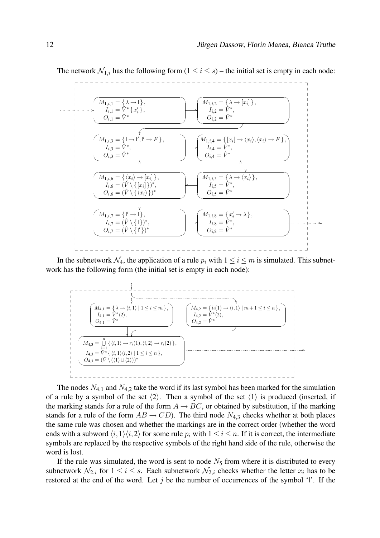

The network  $\mathcal{N}_{1,i}$  has the following form  $(1 \le i \le s)$  – the initial set is empty in each node:

In the subnetwork  $\mathcal{N}_4$ , the application of a rule  $p_i$  with  $1 \leq i \leq m$  is simulated. This subnetwork has the following form (the initial set is empty in each node):



The nodes  $N_{4,1}$  and  $N_{4,2}$  take the word if its last symbol has been marked for the simulation of a rule by a symbol of the set  $\langle 2 \rangle$ . Then a symbol of the set  $\langle 1 \rangle$  is produced (inserted, if the marking stands for a rule of the form  $A \rightarrow BC$ , or obtained by substitution, if the marking stands for a rule of the form  $AB \rightarrow CD$ ). The third node  $N_{4,3}$  checks whether at both places the same rule was chosen and whether the markings are in the correct order (whether the word ends with a subword  $\langle i,1\rangle\langle i,2\rangle$  for some rule  $p_i$  with  $1 \le i \le n$ . If it is correct, the intermediate symbols are replaced by the respective symbols of the right hand side of the rule, otherwise the word is lost.

If the rule was simulated, the word is sent to node  $N_5$  from where it is distributed to every subnetwork  $\mathcal{N}_{2,i}$  for  $1 \leq i \leq s$ . Each subnetwork  $\mathcal{N}_{2,i}$  checks whether the letter  $x_i$  has to be restored at the end of the word. Let  $j$  be the number of occurrences of the symbol 'I'. If the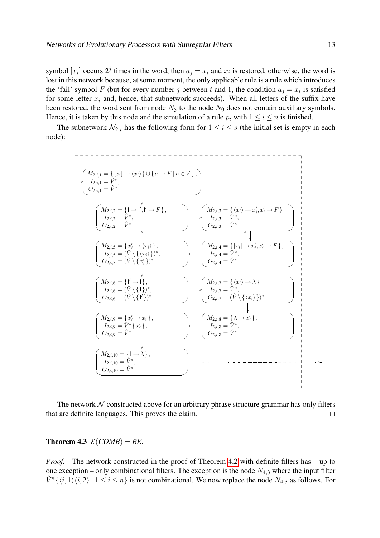symbol  $[x_i]$  occurs  $2^j$  times in the word, then  $a_j = x_i$  and  $x_i$  is restored, otherwise, the word is lost in this network because, at some moment, the only applicable rule is a rule which introduces the 'fail' symbol F (but for every number j between t and 1, the condition  $a_j = x_i$  is satisfied for some letter  $x_i$  and, hence, that subnetwork succeeds). When all letters of the suffix have been restored, the word sent from node  $N_5$  to the node  $N_0$  does not contain auxiliary symbols. Hence, it is taken by this node and the simulation of a rule  $p_i$  with  $1 \le i \le n$  is finished.

The subnetwork  $\mathcal{N}_{2,i}$  has the following form for  $1 \leq i \leq s$  (the initial set is empty in each node):



The network  $N$  constructed above for an arbitrary phrase structure grammar has only filters that are definite languages. This proves the claim.  $\Box$ 

#### <span id="page-12-0"></span>**Theorem 4.3**  $\mathcal{E}(COMB) = RE$ .

*Proof.* The network constructed in the proof of Theorem [4.2](#page-8-0) with definite filters has – up to one exception – only combinational filters. The exception is the node  $N_{4,3}$  where the input filter  $\hat{V}^*\{\langle i,1\rangle\langle i,2\rangle | 1 \leq i \leq n\}$  is not combinational. We now replace the node  $N_{4,3}$  as follows. For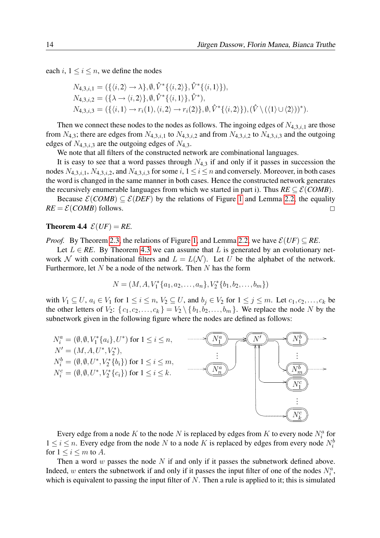each i,  $1 \le i \le n$ , we define the nodes

$$
N_{4,3,i,1} = (\{\langle i,2 \rangle \to \lambda\}, \emptyset, \hat{V}^*\{\langle i,2 \rangle\}, \hat{V}^*\{\langle i,1 \rangle\}),
$$
  
\n
$$
N_{4,3,i,2} = (\{\lambda \to \langle i,2 \rangle\}, \emptyset, \hat{V}^*\{\langle i,1 \rangle\}, \hat{V}^*),
$$
  
\n
$$
N_{4,3,i,3} = (\{\langle i,1 \rangle \to r_i(1), \langle i,2 \rangle \to r_i(2)\}, \emptyset, \hat{V}^*\{\langle i,2 \rangle\}), (\hat{V} \setminus (\langle 1 \rangle \cup \langle 2 \rangle))^*).
$$

Then we connect these nodes to the nodes as follows. The ingoing edges of  $N_{4,3,i,1}$  are those from  $N_{4,3}$ ; there are edges from  $N_{4,3,i,1}$  to  $N_{4,3,i,2}$  and from  $N_{4,3,i,2}$  to  $N_{4,3,i,3}$  and the outgoing edges of  $N_{4,3,i,3}$  are the outgoing edges of  $N_{4,3}$ .

We note that all filters of the constructed network are combinational languages.

It is easy to see that a word passes through  $N_{4,3}$  if and only if it passes in succession the nodes  $N_{4,3,i,1}$ ,  $N_{4,3,i,2}$ , and  $N_{4,3,i,3}$  for some  $i, 1 \le i \le n$  and conversely. Moreover, in both cases the word is changed in the same manner in both cases. Hence the constructed network generates the recursively enumerable languages from which we started in part i). Thus  $RE \subseteq \mathcal{E}(COMB)$ .

Because  $\mathcal{E}(COMB) \subseteq \mathcal{E}(DEF)$  by the relations of Figure [1](#page-3-0) and Lemma [2.2,](#page-5-0) the equality  $RE = \mathcal{E}(COMB)$  follows.

#### **Theorem 4.4**  $\mathcal{E}(UF) = RE$ .

*Proof.* By Theorem [2.3,](#page-5-1) the relations of Figure [1,](#page-3-0) and Lemma [2.2,](#page-5-0) we have  $\mathcal{E}(UF) \subseteq RE$ .

Let  $L \in \mathbb{RE}$ . By Theorem [4.3](#page-12-0) we can assume that L is generated by an evolutionary network N with combinational filters and  $L = L(N)$ . Let U be the alphabet of the network. Furthermore, let  $N$  be a node of the network. Then  $N$  has the form

$$
N = (M, A, V_1^* \{a_1, a_2, \dots, a_n\}, V_2^* \{b_1, b_2, \dots, b_m\})
$$

with  $V_1 \subseteq U$ ,  $a_i \in V_1$  for  $1 \le i \le n$ ,  $V_2 \subseteq U$ , and  $b_j \in V_2$  for  $1 \le j \le m$ . Let  $c_1, c_2, \ldots, c_k$  be the other letters of  $V_2$ :  $\{c_1, c_2, \ldots, c_k\} = V_2 \setminus \{b_1, b_2, \ldots, b_m\}$ . We replace the node N by the subnetwork given in the following figure where the nodes are defined as follows:



Every edge from a node K to the node N is replaced by edges from K to every node  $N_i^a$  for  $1 \le i \le n$ . Every edge from the node N to a node K is replaced by edges from every node  $N_i^b$ for  $1 \leq i \leq m$  to A.

Then a word  $w$  passes the node  $N$  if and only if it passes the subnetwork defined above. Indeed, w enters the subnetwork if and only if it passes the input filter of one of the nodes  $N_i^a$ , which is equivalent to passing the input filter of  $N$ . Then a rule is applied to it; this is simulated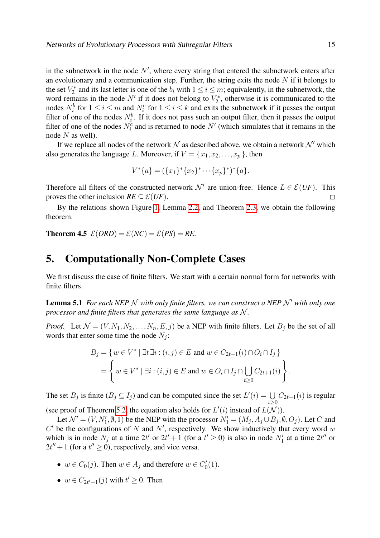in the subnetwork in the node  $N'$ , where every string that entered the subnetwork enters after an evolutionary and a communication step. Further, the string exits the node  $N$  if it belongs to the set  $V_2^*$  $Z_2^*$  and its last letter is one of the  $b_i$  with  $1 \le i \le m$ ; equivalently, in the subnetwork, the word remains in the node N' if it does not belong to  $V_2^*$  $\chi^*_{2}$ , otherwise it is communicated to the nodes  $N_i^b$  for  $1 \le i \le m$  and  $N_i^c$  for  $1 \le i \le k$  and exits the subnetwork if it passes the output filter of one of the nodes  $N_i^b$ . If it does not pass such an output filter, then it passes the output filter of one of the nodes  $N_i^c$  and is returned to node  $N'$  (which simulates that it remains in the node  $N$  as well).

If we replace all nodes of the network  $\mathcal N$  as described above, we obtain a network  $\mathcal N'$  which also generates the language L. Moreover, if  $V = \{x_1, x_2, \ldots, x_p\}$ , then

$$
V^*\{a\} = (\{x_1\}^*\{x_2\}^*\cdots\{x_p\}^*)^*\{a\}.
$$

Therefore all filters of the constructed network  $\mathcal{N}'$  are union-free. Hence  $L \in \mathcal{E}(UF)$ . This proves the other inclusion  $RE \subseteq \mathcal{E}(UF)$ .

By the relations shown Figure [1,](#page-3-0) Lemma [2.2,](#page-5-0) and Theorem [2.3,](#page-5-1) we obtain the following theorem.

**Theorem 4.5**  $\mathcal{E}(ORD) = \mathcal{E}(NC) = \mathcal{E}(PS) = RE$ .

# 5. Computationally Non-Complete Cases

We first discuss the case of finite filters. We start with a certain normal form for networks with finite filters.

<span id="page-14-0"></span>**Lemma 5.1** *For each NEP N with only finite filters, we can construct a NEP N' with only one processor and finite filters that generates the same language as* N *.*

*Proof.* Let  $\mathcal{N} = (V, N_1, N_2, \ldots, N_n, E, j)$  be a NEP with finite filters. Let  $B_i$  be the set of all words that enter some time the node  $N_i$ :

$$
B_j = \{ w \in V^* \mid \exists t \exists i : (i, j) \in E \text{ and } w \in C_{2t+1}(i) \cap O_i \cap I_j \}
$$
  
= 
$$
\left\{ w \in V^* \mid \exists i : (i, j) \in E \text{ and } w \in O_i \cap I_j \cap \bigcup_{t \ge 0} C_{2t+1}(i) \right\}.
$$

The set  $B_j$  is finite  $(B_j \subseteq I_j)$  and can be computed since the set  $L'(i) = \bigcup_{i=1}^{n} A_i$  $t\geq 0$  $C_{2t+1}(i)$  is regular (see proof of Theorem [5.2,](#page-15-0) the equation also holds for  $L'(i)$  instead of  $L(\mathcal{N})$ ).

Let  $\mathcal{N}' = (V, N'_1, \emptyset, 1)$  be the NEP with the processor  $N'_1 = (M_j, A_j \cup B_j, \emptyset, O_j)$ . Let C and  $C'$  be the configurations of N and N', respectively. We show inductively that every word w which is in node  $N_j$  at a time  $2t'$  or  $2t' + 1$  (for a  $t' \ge 0$ ) is also in node  $N'_1$  at a time  $2t''$  or  $2t'' + 1$  (for a  $t'' \ge 0$ ), respectively, and vice versa.

- $w \in C_0(j)$ . Then  $w \in A_j$  and therefore  $w \in C'_0$  $''_0(1).$
- $w \in C_{2t'+1}(j)$  with  $t' \ge 0$ . Then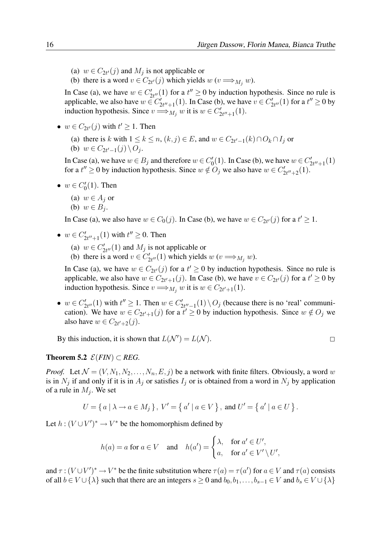- (a)  $w \in C_{2t'}(j)$  and  $M_j$  is not applicable or
- (b) there is a word  $v \in C_{2t'}(j)$  which yields  $w(v \Longrightarrow_{M_j} w)$ .

In Case (a), we have  $w \in C_2'$  $y'_{2t''}(1)$  for a  $t'' \ge 0$  by induction hypothesis. Since no rule is applicable, we also have  $w \in C_2'$  $y'_{2t''+1}(1)$ . In Case (b), we have  $v \in C_2'$  $y_{2t''}(1)$  for a  $t'' \ge 0$  by induction hypothesis. Since  $v \stackrel{\sim}{\Longrightarrow}_{M_j} w$  it is  $w \in C'_2$  $y_{2t''+1}'(1).$ 

- $w \in C_{2t'}(j)$  with  $t' \geq 1$ . Then
	- (a) there is k with  $1 \le k \le n$ ,  $(k, j) \in E$ , and  $w \in C_{2t'-1}(k) \cap O_k \cap I_j$  or
	- (b)  $w \in C_{2t'-1}(j) \setminus O_j$ .

In Case (a), we have  $w \in B_j$  and therefore  $w \in C'_0$  $w'_0(1)$ . In Case (b), we have  $w \in C'_2$  $y_{2t''+1}'(1)$ for a  $t'' \geq 0$  by induction hypothesis. Since  $w \notin O_j$  we also have  $w \in C_2'$  $\frac{y}{2t''+2}(1).$ 

- $w \in C_0'$  $_{0}^{\prime}(1)$ . Then
	- (a)  $w \in A_i$  or
	- (b)  $w \in B_i$ .

In Case (a), we also have  $w \in C_0(j)$ . In Case (b), we have  $w \in C_{2t'}(j)$  for a  $t' \ge 1$ .

- $w \in C'_2$  $y''_{2t''+1}(1)$  with  $t'' \ge 0$ . Then
	- (a)  $w \in C'_2$  $y_{2t''}(1)$  and  $M_j$  is not applicable or
	- (b) there is a word  $v \in C'_2$  $y_{2t''}(1)$  which yields  $w(v \Longrightarrow_{M_j} w)$ .

In Case (a), we have  $w \in C_{2t'}(j)$  for a  $t' \ge 0$  by induction hypothesis. Since no rule is applicable, we also have  $w \in C_{2t'+1}(j)$ . In Case (b), we have  $v \in C_{2t'}(j)$  for a  $t' \ge 0$  by induction hypothesis. Since  $v \Longrightarrow_{M_j} w$  it is  $w \in C_{2t'+1}(1)$ .

•  $w \in C'_2$  $y'_{2t''}(1)$  with  $t'' \ge 1$ . Then  $w \in C'_2$  $\mathcal{O}_{2t''-1}(1) \setminus O_j$  (because there is no 'real' communication). We have  $w \in C_{2t'+1}(j)$  for a  $t' \ge 0$  by induction hypothesis. Since  $w \notin O_j$  we also have  $w \in C_{2t'+2}(j)$ .

By this induction, it is shown that  $L(\mathcal{N}') = L(\mathcal{N})$ .

#### <span id="page-15-0"></span>Theorem 5.2  $\mathcal{E}(FIN) \subset REG$ .

*Proof.* Let  $\mathcal{N} = (V, N_1, N_2, \ldots, N_n, E, j)$  be a network with finite filters. Obviously, a word w is in  $N_i$  if and only if it is in  $A_j$  or satisfies  $I_j$  or is obtained from a word in  $N_j$  by application of a rule in  $M_i$ . We set

$$
U = \{ a \mid \lambda \to a \in M_j \}, \ V' = \{ a' \mid a \in V \}, \text{ and } U' = \{ a' \mid a \in U \}.
$$

Let  $h: (V \cup V')^* \to V^*$  be the homomorphism defined by

$$
h(a) = a \text{ for } a \in V \quad \text{and} \quad h(a') = \begin{cases} \lambda, & \text{for } a' \in U', \\ a, & \text{for } a' \in V' \setminus U', \end{cases}
$$

and  $\tau: (V \cup V')^* \to V^*$  be the finite substitution where  $\tau(a) = \tau(a')$  for  $a \in V$  and  $\tau(a)$  consists of all  $b \in V \cup \{\lambda\}$  such that there are an integers  $s \ge 0$  and  $b_0, b_1, \ldots, b_{s-1} \in V$  and  $b_s \in V \cup \{\lambda\}$ 

$$
\Box
$$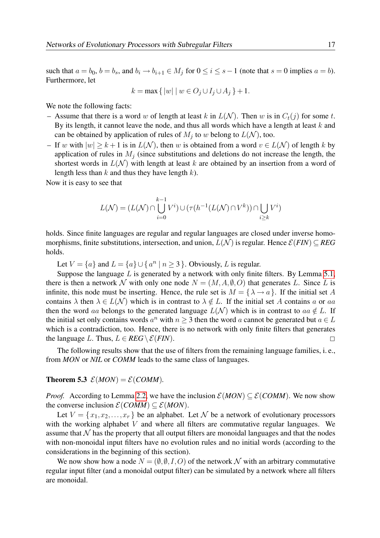such that  $a = b_0$ ,  $b = b_s$ , and  $b_i \rightarrow b_{i+1} \in M_j$  for  $0 \le i \le s-1$  (note that  $s = 0$  implies  $a = b$ ). Furthermore, let

 $k = \max\{|w| \mid w \in O_j \cup I_j \cup A_j\} + 1.$ 

We note the following facts:

- Assume that there is a word w of length at least k in  $L(\mathcal{N})$ . Then w is in  $C_t(j)$  for some t. By its length, it cannot leave the node, and thus all words which have a length at least  $k$  and can be obtained by application of rules of  $M_j$  to w belong to  $L(\mathcal{N})$ , too.
- If w with  $|w| > k+1$  is in  $L(\mathcal{N})$ , then w is obtained from a word  $v \in L(\mathcal{N})$  of length k by application of rules in  $M_i$  (since substitutions and deletions do not increase the length, the shortest words in  $L(\mathcal{N})$  with length at least k are obtained by an insertion from a word of length less than  $k$  and thus they have length  $k$ ).

Now it is easy to see that

$$
L(\mathcal{N}) = (L(\mathcal{N}) \cap \bigcup_{i=0}^{k-1} V^i) \cup (\tau(h^{-1}(L(\mathcal{N}) \cap V^k)) \cap \bigcup_{i \ge k} V^i)
$$

holds. Since finite languages are regular and regular languages are closed under inverse homomorphisms, finite substitutions, intersection, and union, L(N ) is regular. Hence E(*FIN*) ⊆ *REG* holds.

Let  $V = \{a\}$  and  $L = \{a\} \cup \{a^n \mid n \ge 3\}$ . Obviously, L is regular.

Suppose the language  $L$  is generated by a network with only finite filters. By Lemma [5.1,](#page-14-0) there is then a network N with only one node  $N = (M, A, \emptyset, O)$  that generates L. Since L is infinite, this node must be inserting. Hence, the rule set is  $M = \{\lambda \to a\}$ . If the initial set A contains  $\lambda$  then  $\lambda \in L(\mathcal{N})$  which is in contrast to  $\lambda \notin L$ . If the initial set A contains a or aa then the word aa belongs to the generated language  $L(\mathcal{N})$  which is in contrast to aa  $\notin L$ . If the initial set only contains words  $a^n$  with  $n \geq 3$  then the word a cannot be generated but  $a \in L$ which is a contradiction, too. Hence, there is no network with only finite filters that generates the language L. Thus,  $L \in REG \ (FIN)$ .

The following results show that the use of filters from the remaining language families, i. e., from *MON* or *NIL* or *COMM* leads to the same class of languages.

#### <span id="page-16-0"></span>**Theorem 5.3**  $\mathcal{E}(MON) = \mathcal{E}(COMM)$ .

*Proof.* According to Lemma [2.2,](#page-5-0) we have the inclusion  $\mathcal{E}(MON) \subseteq \mathcal{E}(COMM)$ . We now show the converse inclusion  $\mathcal{E}(COMM) \subseteq \mathcal{E}(MON)$ .

Let  $V = \{x_1, x_2, \ldots, x_r\}$  be an alphabet. Let N be a network of evolutionary processors with the working alphabet V and where all filters are commutative regular languages. We assume that  $N$  has the property that all output filters are monoidal languages and that the nodes with non-monoidal input filters have no evolution rules and no initial words (according to the considerations in the beginning of this section).

We now show how a node  $N = (\emptyset, \emptyset, I, O)$  of the network N with an arbitrary commutative regular input filter (and a monoidal output filter) can be simulated by a network where all filters are monoidal.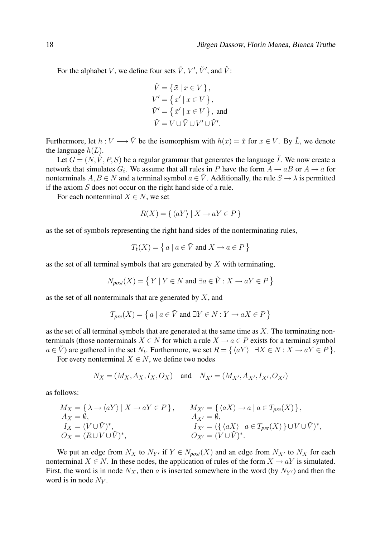For the alphabet V, we define four sets  $\tilde{V}$ , V',  $\tilde{V}'$ , and  $\hat{V}$ :

$$
\tilde{V} = \{ \tilde{x} \mid x \in V \},
$$
\n
$$
V' = \{ x' \mid x \in V \},
$$
\n
$$
\tilde{V}' = \{ \tilde{x}' \mid x \in V \},
$$
\nand\n
$$
\hat{V} = V \cup \tilde{V} \cup V' \cup \tilde{V}'.
$$

Furthermore, let  $h: V \longrightarrow \tilde{V}$  be the isomorphism with  $h(x) = \tilde{x}$  for  $x \in V$ . By  $\tilde{L}$ , we denote the language  $h(L)$ .

Let  $G = (N, \tilde{V}, P, S)$  be a regular grammar that generates the language  $\tilde{I}$ . We now create a network that simulates  $G_i$ . We assume that all rules in P have the form  $A \to aB$  or  $A \to a$  for nonterminals  $A, B \in N$  and a terminal symbol  $a \in \tilde{V}$ . Additionally, the rule  $S \to \lambda$  is permitted if the axiom S does not occur on the right hand side of a rule.

For each nonterminal  $X \in N$ , we set

$$
R(X) = \{ \langle aY \rangle \mid X \to aY \in P \}
$$

as the set of symbols representing the right hand sides of the nonterminating rules,

$$
T_t(X) = \left\{ a \mid a \in \tilde{V} \text{ and } X \to a \in P \right\}
$$

as the set of all terminal symbols that are generated by  $X$  with terminating,

$$
N_{post}(X) = \{ Y \mid Y \in N \text{ and } \exists a \in \tilde{V} : X \to aY \in P \}
$$

as the set of all nonterminals that are generated by  $X$ , and

$$
T_{pre}(X) = \{ a \mid a \in \tilde{V} \text{ and } \exists Y \in N : Y \to aX \in P \}
$$

as the set of all terminal symbols that are generated at the same time as  $X$ . The terminating nonterminals (those nonterminals  $X \in N$  for which a rule  $X \to a \in P$  exists for a terminal symbol  $a \in \tilde{V}$ ) are gathered in the set  $N_t$ . Furthermore, we set  $R = \{ \langle aY \rangle \mid \exists X \in N : X \to aY \in P \}$ .

For every nonterminal  $X \in N$ , we define two nodes

$$
N_X = (M_X, A_X, I_X, O_X)
$$
 and  $N_{X'} = (M_{X'}, A_{X'}, I_{X'}, O_{X'})$ 

as follows:

$$
M_X = \{ \lambda \to \langle aY \rangle \mid X \to aY \in P \}, \qquad M_{X'} = \{ \langle aX \rangle \to a \mid a \in T_{pre}(X) \},
$$
  
\n
$$
A_X = \emptyset, \qquad A_{X'} = \emptyset, \qquad I_{X'} = (\{ \langle aX \rangle \mid a \in T_{pre}(X) \} \cup V \cup \tilde{V})^*,
$$
  
\n
$$
O_X = (R \cup V \cup \tilde{V})^*, \qquad O_{X'} = (V \cup \tilde{V})^*.
$$

We put an edge from  $N_X$  to  $N_{Y'}$  if  $Y \in N_{post}(X)$  and an edge from  $N_{X'}$  to  $N_X$  for each nonterminal  $X \in N$ . In these nodes, the application of rules of the form  $X \to aY$  is simulated. First, the word is in node  $N_X$ , then a is inserted somewhere in the word (by  $N_{Y'}$ ) and then the word is in node  $N_Y$ .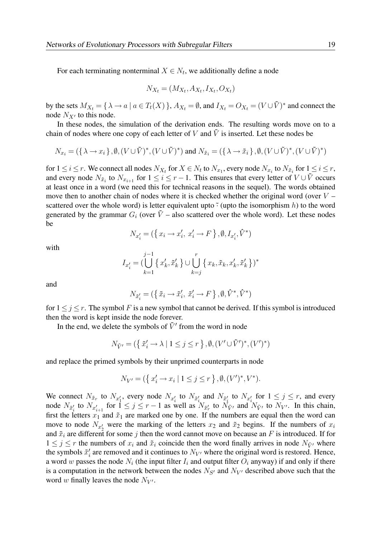For each terminating nonterminal  $X \in N_t$ , we additionally define a node

$$
N_{X_t} = (M_{X_t}, A_{X_t}, I_{X_t}, O_{X_t})
$$

by the sets  $M_{X_t} = \{ \lambda \to a \mid a \in T_t(X) \}$ ,  $A_{X_t} = \emptyset$ , and  $I_{X_t} = O_{X_t} = (V \cup \tilde{V})^*$  and connect the node  $N_{X}$  to this node.

In these nodes, the simulation of the derivation ends. The resulting words move on to a chain of nodes where one copy of each letter of V and  $\tilde{V}$  is inserted. Let these nodes be

$$
N_{x_i} = (\{\lambda \to x_i\}, \emptyset, (V \cup \tilde{V})^*, (V \cup \tilde{V})^*) \text{ and } N_{\tilde{x}_i} = (\{\lambda \to \tilde{x}_i\}, \emptyset, (V \cup \tilde{V})^*, (V \cup \tilde{V})^*)
$$

for  $1 \le i \le r$ . We connect all nodes  $N_{X_t}$  for  $X \in N_t$  to  $N_{x_1}$ , every node  $N_{x_i}$  to  $N_{\tilde{x}_i}$  for  $1 \le i \le r$ , and every node  $N_{\tilde{x}_i}$  to  $N_{x_{i+1}}$  for  $1 \leq i \leq r-1$ . This ensures that every letter of  $V \cup \tilde{V}$  occurs at least once in a word (we need this for technical reasons in the sequel). The words obtained move then to another chain of nodes where it is checked whether the original word (over  $V$  – scattered over the whole word) is letter equivalent upto  $\tilde{\cdot}$  (upto the isomorphism h) to the word generated by the grammar  $G_i$  (over  $\tilde{V}$  – also scattered over the whole word). Let these nodes be

$$
N_{x'_i} = (\{x_i \to x'_i, x'_i \to F\}, \emptyset, I_{x'_i}, \hat{V}^*)
$$

with

$$
I_{x'_i} = (\bigcup_{k=1}^{j-1} \{x'_k, \tilde{x}'_k\} \cup \bigcup_{k=j}^{r} \{x_k, \tilde{x}_k, x'_k, \tilde{x}'_k\})^*
$$

and

$$
N_{\tilde{x}'_i} = (\{\tilde{x}_i \to \tilde{x}'_i, \tilde{x}'_i \to F\}, \emptyset, \hat{V}^*, \hat{V}^*)
$$

for  $1 \leq j \leq r$ . The symbol F is a new symbol that cannot be derived. If this symbol is introduced then the word is kept inside the node forever.

In the end, we delete the symbols of  $\tilde{V}'$  from the word in node

$$
N_{\tilde{V}'} = (\{ \tilde{x}'_i \to \lambda \mid 1 \leq j \leq r \}, \emptyset, (V' \cup \tilde{V}')^*, (V')^*)
$$

and replace the primed symbols by their unprimed counterparts in node

$$
N_{V'} = (\{x'_i \to x_i \mid 1 \le j \le r\}, \emptyset, (V')^*, V^*).
$$

We connect  $N_{\tilde{x}_r}$  to  $N_{x'_1}$ , every node  $N_{x'_i}$  to  $N_{\tilde{x}'_i}$  and  $N_{\tilde{x}'_i}$  for  $1 \leq j \leq r$ , and every node  $N_{\tilde{x}'_i}$  to  $N_{x'_{i+1}}$  for  $1 \leq j \leq r-1$  as well as  $N_{\tilde{x}'_r}$  to  $N_{\tilde{V}'}$  and  $N_{\tilde{V}'}$  to  $N_{V'}$ . In this chain, first the letters  $x_1$  and  $\tilde{x}_1$  are marked one by one. If the numbers are equal then the word can move to node  $N_{x_2}$  were the marking of the letters  $x_2$  and  $\tilde{x}_2$  begins. If the numbers of  $x_i$ and  $\tilde{x}_i$  are different for some j then the word cannot move on because an F is introduced. If for  $1 \leq j \leq r$  the numbers of  $x_i$  and  $\tilde{x}_i$  coincide then the word finally arrives in node  $N_{\tilde{V}}$ , where the symbols  $\tilde{x}'_i$  are removed and it continues to  $N_{V'}$  where the original word is restored. Hence, a word w passes the node  $N_i$  (the input filter  $I_i$  and output filter  $O_i$  anyway) if and only if there is a computation in the network between the nodes  $N_{S'}$  and  $N_{V'}$  described above such that the word w finally leaves the node  $N_{V}$ .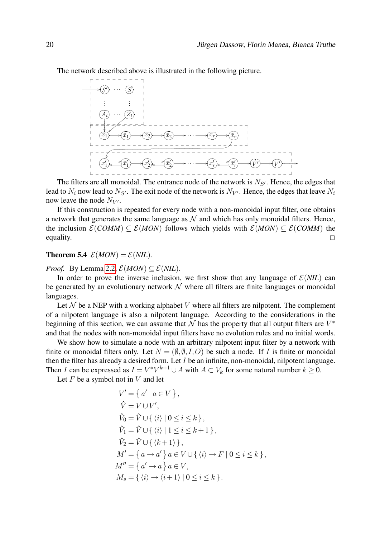The network described above is illustrated in the following picture.



The filters are all monoidal. The entrance node of the network is  $N_{S'}$ . Hence, the edges that lead to  $N_i$  now lead to  $N_{S'}$ . The exit node of the network is  $N_{V'}$ . Hence, the edges that leave  $N_i$ now leave the node  $N_{V}$ .

If this construction is repeated for every node with a non-monoidal input filter, one obtains a network that generates the same language as  $N$  and which has only monoidal filters. Hence, the inclusion  $\mathcal{E}(COMM) \subseteq \mathcal{E}(MON)$  follows which yields with  $\mathcal{E}(MON) \subseteq \mathcal{E}(COMM)$  the equality.  $\Box$ 

#### <span id="page-19-0"></span>**Theorem 5.4**  $\mathcal{E}(MON) = \mathcal{E}(NIL)$ .

*Proof.* By Lemma [2.2,](#page-5-0)  $\mathcal{E}(MON) \subseteq \mathcal{E}(NIL)$ .

In order to prove the inverse inclusion, we first show that any language of  $\mathcal{E}(NIL)$  can be generated by an evolutionary network  $\mathcal N$  where all filters are finite languages or monoidal languages.

Let  $N$  be a NEP with a working alphabet  $V$  where all filters are nilpotent. The complement of a nilpotent language is also a nilpotent language. According to the considerations in the beginning of this section, we can assume that  $\mathcal N$  has the property that all output filters are  $V^*$ and that the nodes with non-monoidal input filters have no evolution rules and no initial words.

We show how to simulate a node with an arbitrary nilpotent input filter by a network with finite or monoidal filters only. Let  $N = (\emptyset, \emptyset, I, O)$  be such a node. If I is finite or monoidal then the filter has already a desired form. Let I be an infinite, non-monoidal, nilpotent language. Then I can be expressed as  $I = V^*V^{k+1} \cup A$  with  $A \subset V_k$  for some natural number  $k \ge 0$ .

Let  $F$  be a symbol not in  $V$  and let

$$
V' = \left\{ a' \mid a \in V \right\},
$$
  
\n
$$
\hat{V} = V \cup V',
$$
  
\n
$$
\hat{V}_0 = \hat{V} \cup \left\{ \langle i \rangle \mid 0 \le i \le k \right\},
$$
  
\n
$$
\hat{V}_1 = \hat{V} \cup \left\{ \langle i \rangle \mid 1 \le i \le k+1 \right\},
$$
  
\n
$$
\hat{V}_2 = \hat{V} \cup \left\{ \langle k+1 \rangle \right\},
$$
  
\n
$$
M' = \left\{ a \rightarrow a' \right\} a \in V \cup \left\{ \langle i \rangle \rightarrow F \mid 0 \le i \le k \right\},
$$
  
\n
$$
M'' = \left\{ a' \rightarrow a \right\} a \in V,
$$
  
\n
$$
M_s = \left\{ \langle i \rangle \rightarrow \langle i+1 \rangle \mid 0 \le i \le k \right\}.
$$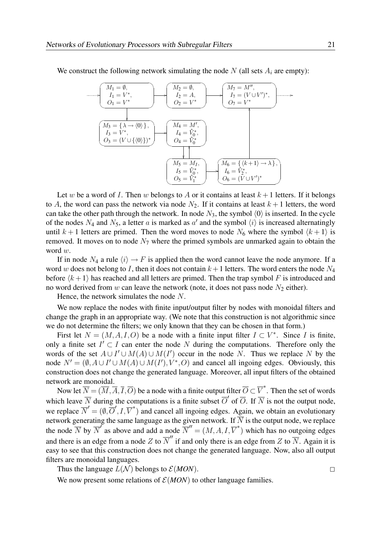

We construct the following network simulating the node  $N$  (all sets  $A_i$  are empty):

Let w be a word of I. Then w belongs to A or it contains at least  $k + 1$  letters. If it belongs to A, the word can pass the network via node  $N_2$ . If it contains at least  $k + 1$  letters, the word can take the other path through the network. In node  $N_3$ , the symbol  $\langle 0 \rangle$  is inserted. In the cycle of the nodes  $N_4$  and  $N_5$ , a letter a is marked as a' and the symbol  $\langle i \rangle$  is increased alternatingly until  $k + 1$  letters are primed. Then the word moves to node  $N_6$  where the symbol  $\langle k + 1 \rangle$  is removed. It moves on to node  $N<sub>7</sub>$  where the primed symbols are unmarked again to obtain the word w.

If in node  $N_4$  a rule  $\langle i \rangle \rightarrow F$  is applied then the word cannot leave the node anymore. If a word w does not belong to I, then it does not contain  $k+1$  letters. The word enters the node  $N_4$ before  $\langle k+1 \rangle$  has reached and all letters are primed. Then the trap symbol F is introduced and no word derived from  $w$  can leave the network (note, it does not pass node  $N_2$  either).

Hence, the network simulates the node N.

We now replace the nodes with finite input/output filter by nodes with monoidal filters and change the graph in an appropriate way. (We note that this construction is not algorithmic since we do not determine the filters; we only known that they can be chosen in that form.)

First let  $N = (M, A, I, O)$  be a node with a finite input filter  $I \subset V^*$ . Since I is finite, only a finite set  $I' \subset I$  can enter the node N during the computations. Therefore only the words of the set  $A \cup I' \cup M(A) \cup M(I')$  occur in the node N. Thus we replace N by the node  $N' = (\emptyset, A \cup I' \cup M(A) \cup M(I'), V^*, O)$  and cancel all ingoing edges. Obviously, this construction does not change the generated language. Moreover, all input filters of the obtained network are monoidal.

Now let  $\overline{N} = (\overline{M}, \overline{A}, \overline{I}, \overline{O})$  be a node with a finite output filter  $\overline{O} \subset \overline{V}^*$ . Then the set of words which leave  $\overline{N}$  during the computations is a finite subset  $\overline{O}'$  of  $\overline{O}$ . If  $\overline{N}$  is not the output node, we replace  $\overline{N}' = (\emptyset, \overline{O}', I, \overline{V}^*)$  and cancel all ingoing edges. Again, we obtain an evolutionary network generating the same language as the given network. If  $\overline{N}$  is the output node, we replace the node  $\overline{N}$  by  $\overline{N}'$  as above and add a node  $\overline{N}'' = (M, A, I, \overline{V}^*)$  which has no outgoing edges and there is an edge from a node Z to  $\overline{N}''$  if and only there is an edge from Z to  $\overline{N}$ . Again it is easy to see that this construction does not change the generated language. Now, also all output filters are monoidal languages.

Thus the language  $L(\mathcal{N})$  belongs to  $\mathcal{E}(MON)$ .

We now present some relations of  $\mathcal{E}(MON)$  to other language families.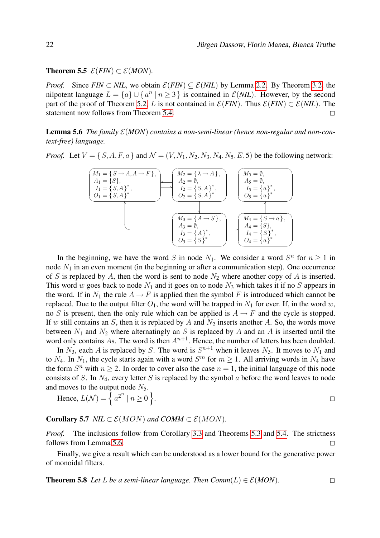**Theorem 5.5**  $\mathcal{E}(FIN) \subset \mathcal{E}(MON)$ .

*Proof.* Since *FIN* ⊂ *NIL*, we obtain  $\mathcal{E}(FIN) \subseteq \mathcal{E}(NIL)$  by Lemma [2.2.](#page-5-0) By Theorem [3.2,](#page-6-0) the nilpotent language  $L = \{a\} \cup \{a^n \mid n \ge 3\}$  is contained in  $\mathcal{E}(NIL)$ . However, by the second part of the proof of Theorem [5.2,](#page-15-0) L is not contained in  $\mathcal{E}(FIN)$ . Thus  $\mathcal{E}(FIN) \subset \mathcal{E}(NIL)$ . The statement now follows from Theorem [5.4.](#page-19-0)  $\Box$ 

<span id="page-21-0"></span>Lemma 5.6 *The family* E(*MON*) *contains a non-semi-linear (hence non-regular and non-context-free) language.*

*Proof.* Let  $V = \{S, A, F, a\}$  and  $\mathcal{N} = (V, N_1, N_2, N_3, N_4, N_5, E, 5)$  be the following network:



In the beginning, we have the word S in node  $N_1$ . We consider a word  $S^n$  for  $n \ge 1$  in node  $N_1$  in an even moment (in the beginning or after a communication step). One occurrence of S is replaced by A, then the word is sent to node  $N_2$  where another copy of A is inserted. This word w goes back to node  $N_1$  and it goes on to node  $N_3$  which takes it if no S appears in the word. If in  $N_1$  the rule  $A \to F$  is applied then the symbol F is introduced which cannot be replaced. Due to the output filter  $O_1$ , the word will be trapped in  $N_1$  for ever. If, in the word w, no S is present, then the only rule which can be applied is  $A \rightarrow F$  and the cycle is stopped. If w still contains an S, then it is replaced by A and  $N_2$  inserts another A. So, the words move between  $N_1$  and  $N_2$  where alternatingly an S is replaced by A and an A is inserted until the word only contains As. The word is then  $A^{n+1}$ . Hence, the number of letters has been doubled.

In  $N_3$ , each A is replaced by S. The word is  $S^{n+1}$  when it leaves  $N_3$ . It moves to  $N_1$  and to  $N_4$ . In  $N_1$ , the cycle starts again with a word  $S^m$  for  $m \ge 1$ . All arriving words in  $N_4$  have the form  $S<sup>n</sup>$  with  $n \ge 2$ . In order to cover also the case  $n = 1$ , the initial language of this node consists of S. In  $N_4$ , every letter S is replaced by the symbol a before the word leaves to node and moves to the output node  $N_5$ .

Hence, 
$$
L(\mathcal{N}) = \left\{ a^{2^n} \mid n \ge 0 \right\}.
$$

**Corollary 5.7** *NIL*  $\subset \mathcal{E}(MON)$  *and COMM*  $\subset \mathcal{E}(MON)$ *.* 

*Proof.* The inclusions follow from Corollary [3.3](#page-7-0) and Theorems [5.3](#page-16-0) and [5.4.](#page-19-0) The strictness follows from Lemma [5.6.](#page-21-0)  $\Box$ 

Finally, we give a result which can be understood as a lower bound for the generative power of monoidal filters.

**Theorem 5.8** *Let L be a semi-linear language. Then*  $Comm(L) \in \mathcal{E}(MON)$ *. □*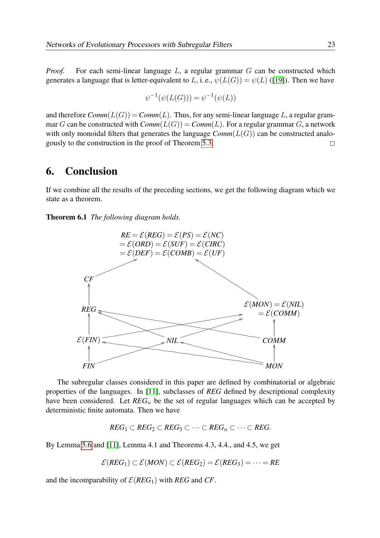*Proof.* For each semi-linear language L, a regular grammar G can be constructed which generates a language that is letter-equivalent to L, i. e.,  $\psi(L(G)) = \psi(L)$  ([\[19\]](#page-24-3)). Then we have

$$
\psi^{-1}(\psi(L(G))) = \psi^{-1}(\psi(L))
$$

and therefore  $Comm(L(G)) = Comm(L)$ . Thus, for any semi-linear language L, a regular grammar G can be constructed with  $Comm(L(G)) = Comm(L)$ . For a regular grammar G, a network with only monoidal filters that generates the language  $Comm(L(G))$  can be constructed analo-gously to the construction in the proof of Theorem [5.3.](#page-16-0)  $\Box$ 

## 6. Conclusion

If we combine all the results of the preceding sections, we get the following diagram which we state as a theorem.





The subregular classes considered in this paper are defined by combinatorial or algebraic properties of the languages. In [\[11\]](#page-23-15), subclasses of *REG* defined by descriptional complexity have been considered. Let  $REG_n$  be the set of regular languages which can be accepted by deterministic finite automata. Then we have

*REG*<sub>1</sub> ⊂ *REG*<sub>2</sub> ⊂ *REG*<sub>3</sub> ⊂ ··· ⊂ *REG*<sub>n</sub> ⊂ ··· ⊂ *REG*.

By Lemma [5.6](#page-21-0) and [\[11\]](#page-23-15), Lemma 4.1 and Theorems 4.3, 4.4., and 4.5, we get

$$
\mathcal{E}(REG_1) \subset \mathcal{E}(MON) \subset \mathcal{E}(REG_2) = \mathcal{E}(REG_3) = \cdots = RE
$$

and the incomparability of  $\mathcal{E}(REG_1)$  with *REG* and *CF*.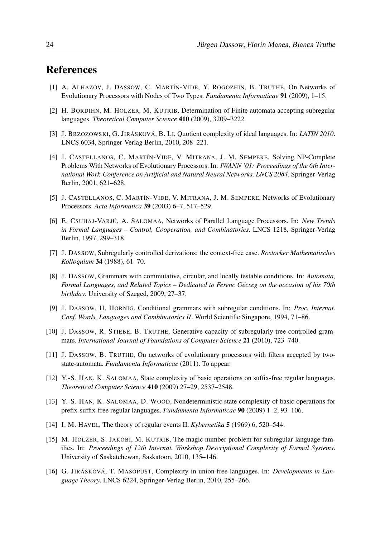# References

- <span id="page-23-13"></span>[1] A. ALHAZOV, J. DASSOW, C. MARTÍN-VIDE, Y. ROGOZHIN, B. TRUTHE, On Networks of Evolutionary Processors with Nodes of Two Types. *Fundamenta Informaticae* 91 (2009), 1–15.
- <span id="page-23-0"></span>[2] H. BORDIHN, M. HOLZER, M. KUTRIB, Determination of Finite automata accepting subregular languages. *Theoretical Computer Science* 410 (2009), 3209–3222.
- <span id="page-23-4"></span>[3] J. BRZOZOWSKI, G. JIRÁSKOVÁ, B. LI, Quotient complexity of ideal languages. In: *LATIN 2010*. LNCS 6034, Springer-Verlag Berlin, 2010, 208–221.
- <span id="page-23-11"></span>[4] J. CASTELLANOS, C. MARTÍN-VIDE, V. MITRANA, J. M. SEMPERE, Solving NP-Complete Problems With Networks of Evolutionary Processors. In: *IWANN '01: Proceedings of the 6th International Work-Conference on Artificial and Natural Neural Networks, LNCS 2084*. Springer-Verlag Berlin, 2001, 621–628.
- <span id="page-23-12"></span>[5] J. CASTELLANOS, C. MARTÍN-VIDE, V. MITRANA, J. M. SEMPERE, Networks of Evolutionary Processors. *Acta Informatica* 39 (2003) 6–7, 517–529.
- <span id="page-23-10"></span>[6] E. CSUHAJ-VARJÚ, A. SALOMAA, Networks of Parallel Language Processors. In: *New Trends in Formal Languages – Control, Cooperation, and Combinatorics*. LNCS 1218, Springer-Verlag Berlin, 1997, 299–318.
- <span id="page-23-6"></span>[7] J. DASSOW, Subregularly controlled derivations: the context-free case. *Rostocker Mathematisches Kolloquium* 34 (1988), 61–70.
- <span id="page-23-8"></span>[8] J. DASSOW, Grammars with commutative, circular, and locally testable conditions. In: *Automata, Formal Languages, and Related Topics – Dedicated to Ferenc Gécseg on the occasion of his 70th birthday*. University of Szeged, 2009, 27–37.
- <span id="page-23-7"></span>[9] J. DASSOW, H. HORNIG, Conditional grammars with subregular conditions. In: *Proc. Internat. Conf. Words, Languages and Combinatorics II*. World Scientific Singapore, 1994, 71–86.
- <span id="page-23-9"></span>[10] J. DASSOW, R. STIEBE, B. TRUTHE, Generative capacity of subregularly tree controlled grammars. *International Journal of Foundations of Computer Science* 21 (2010), 723–740.
- <span id="page-23-15"></span>[11] J. DASSOW, B. TRUTHE, On networks of evolutionary processors with filters accepted by twostate-automata. *Fundamenta Informaticae* (2011). To appear.
- <span id="page-23-2"></span>[12] Y.-S. HAN, K. SALOMAA, State complexity of basic operations on suffix-free regular languages. *Theoretical Computer Science* 410 (2009) 27–29, 2537–2548.
- <span id="page-23-3"></span>[13] Y.-S. HAN, K. SALOMAA, D. WOOD, Nondeterministic state complexity of basic operations for prefix-suffix-free regular languages. *Fundamenta Informaticae* 90 (2009) 1–2, 93–106.
- <span id="page-23-14"></span>[14] I. M. HAVEL, The theory of regular events II. *Kybernetika* 5 (1969) 6, 520–544.
- <span id="page-23-1"></span>[15] M. HOLZER, S. JAKOBI, M. KUTRIB, The magic number problem for subregular language families. In: *Proceedings of 12th Internat. Workshop Descriptional Complexity of Formal Systems*. University of Saskatchewan, Saskatoon, 2010, 135–146.
- <span id="page-23-5"></span>[16] G. JIRÁSKOVÁ, T. MASOPUST, Complexity in union-free languages. In: *Developments in Language Theory*. LNCS 6224, Springer-Verlag Berlin, 2010, 255–266.